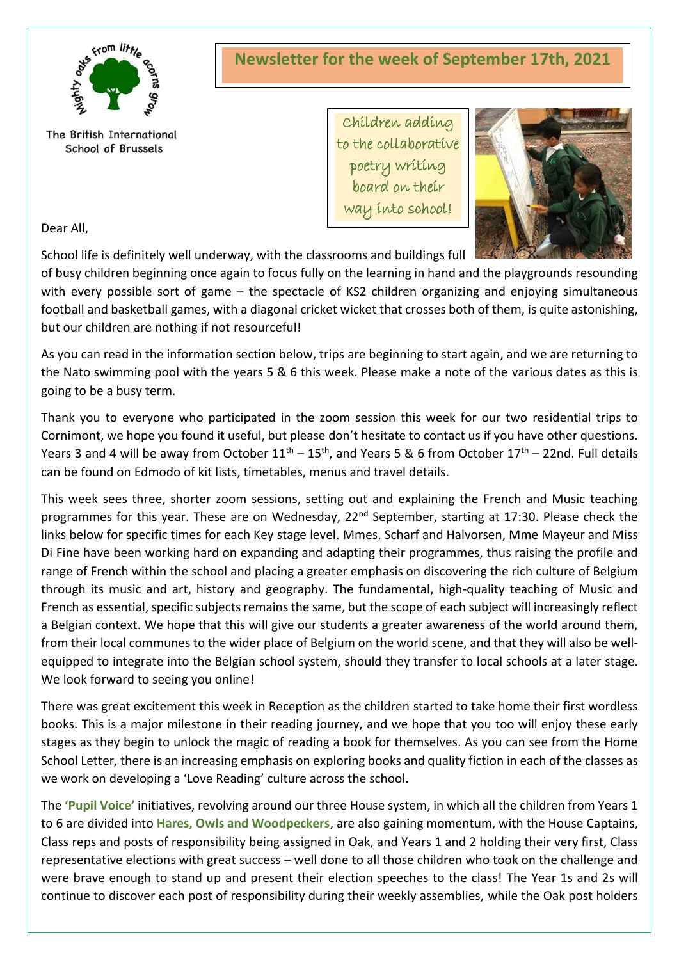

# **Newsletter for the week of September 17th, 2021**

The British International School of Brussels

Children adding to the collaborative poetry writing board on their way into school!



Dear All,

School life is definitely well underway, with the classrooms and buildings full

of busy children beginning once again to focus fully on the learning in hand and the playgrounds resounding with every possible sort of game – the spectacle of KS2 children organizing and enjoying simultaneous football and basketball games, with a diagonal cricket wicket that crosses both of them, is quite astonishing, but our children are nothing if not resourceful!

As you can read in the information section below, trips are beginning to start again, and we are returning to the Nato swimming pool with the years 5 & 6 this week. Please make a note of the various dates as this is going to be a busy term.

Thank you to everyone who participated in the zoom session this week for our two residential trips to Cornimont, we hope you found it useful, but please don't hesitate to contact us if you have other questions. Years 3 and 4 will be away from October  $11^{th}$  –  $15^{th}$ , and Years 5 & 6 from October  $17^{th}$  – 22nd. Full details can be found on Edmodo of kit lists, timetables, menus and travel details.

This week sees three, shorter zoom sessions, setting out and explaining the French and Music teaching programmes for this year. These are on Wednesday, 22<sup>nd</sup> September, starting at 17:30. Please check the links below for specific times for each Key stage level. Mmes. Scharf and Halvorsen, Mme Mayeur and Miss Di Fine have been working hard on expanding and adapting their programmes, thus raising the profile and range of French within the school and placing a greater emphasis on discovering the rich culture of Belgium through its music and art, history and geography. The fundamental, high-quality teaching of Music and French as essential, specific subjects remainsthe same, but the scope of each subject will increasingly reflect a Belgian context. We hope that this will give our students a greater awareness of the world around them, from their local communes to the wider place of Belgium on the world scene, and that they will also be wellequipped to integrate into the Belgian school system, should they transfer to local schools at a later stage. We look forward to seeing you online!

There was great excitement this week in Reception as the children started to take home their first wordless books. This is a major milestone in their reading journey, and we hope that you too will enjoy these early stages as they begin to unlock the magic of reading a book for themselves. As you can see from the Home School Letter, there is an increasing emphasis on exploring books and quality fiction in each of the classes as we work on developing a 'Love Reading' culture across the school.

The **'Pupil Voice'** initiatives, revolving around our three House system, in which all the children from Years 1 to 6 are divided into **Hares, Owls and Woodpeckers**, are also gaining momentum, with the House Captains, Class reps and posts of responsibility being assigned in Oak, and Years 1 and 2 holding their very first, Class representative elections with great success – well done to all those children who took on the challenge and were brave enough to stand up and present their election speeches to the class! The Year 1s and 2s will continue to discover each post of responsibility during their weekly assemblies, while the Oak post holders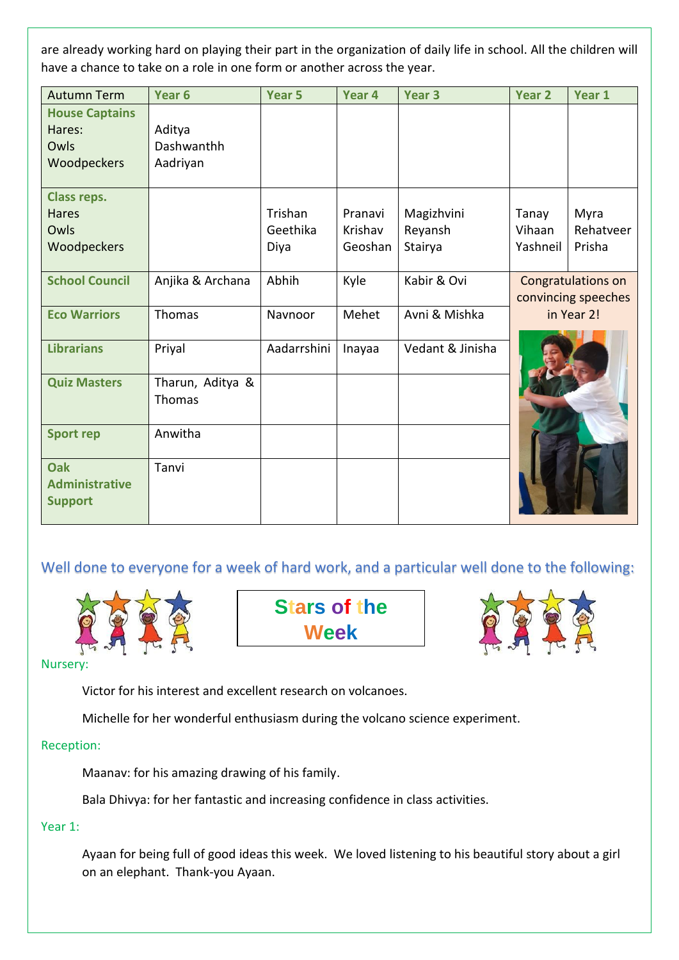are already working hard on playing their part in the organization of daily life in school. All the children will have a chance to take on a role in one form or another across the year.

| <b>Autumn Term</b>                                        | Year <sub>6</sub>                | Year <sub>5</sub>           | Year 4                        | Year <sub>3</sub>                | <b>Year 2</b>                                           | Year 1                      |
|-----------------------------------------------------------|----------------------------------|-----------------------------|-------------------------------|----------------------------------|---------------------------------------------------------|-----------------------------|
| <b>House Captains</b><br>Hares:<br>Owls<br>Woodpeckers    | Aditya<br>Dashwanthh<br>Aadriyan |                             |                               |                                  |                                                         |                             |
| <b>Class reps.</b><br><b>Hares</b><br>Owls<br>Woodpeckers |                                  | Trishan<br>Geethika<br>Diya | Pranavi<br>Krishav<br>Geoshan | Magizhvini<br>Reyansh<br>Stairya | Tanay<br>Vihaan<br>Yashneil                             | Myra<br>Rehatveer<br>Prisha |
| <b>School Council</b>                                     | Anjika & Archana                 | Abhih                       | Kyle                          | Kabir & Ovi                      | Congratulations on<br>convincing speeches<br>in Year 2! |                             |
| <b>Eco Warriors</b>                                       | Thomas                           | Navnoor                     | Mehet                         | Avni & Mishka                    |                                                         |                             |
| <b>Librarians</b>                                         | Priyal                           | Aadarrshini                 | Inayaa                        | Vedant & Jinisha                 |                                                         |                             |
| <b>Quiz Masters</b>                                       | Tharun, Aditya &<br>Thomas       |                             |                               |                                  |                                                         |                             |
| <b>Sport rep</b>                                          | Anwitha                          |                             |                               |                                  |                                                         |                             |
| <b>Oak</b><br><b>Administrative</b><br><b>Support</b>     | Tanvi                            |                             |                               |                                  |                                                         |                             |

Well done to everyone for a week of hard work, and a particular well done to the following:



**Stars of the Week**



Nursery:

Victor for his interest and excellent research on volcanoes.

Michelle for her wonderful enthusiasm during the volcano science experiment.

# Reception:

Maanav: for his amazing drawing of his family.

Bala Dhivya: for her fantastic and increasing confidence in class activities.

# Year 1:

Ayaan for being full of good ideas this week. We loved listening to his beautiful story about a girl on an elephant. Thank-you Ayaan.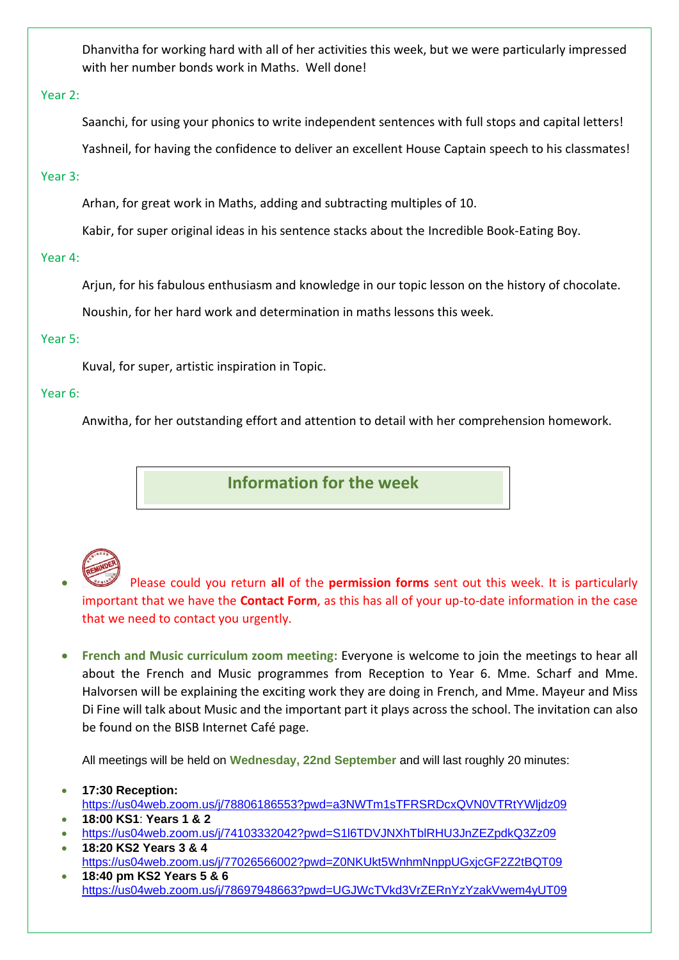Dhanvitha for working hard with all of her activities this week, but we were particularly impressed with her number bonds work in Maths. Well done!

#### Year 2:

Saanchi, for using your phonics to write independent sentences with full stops and capital letters!

Yashneil, for having the confidence to deliver an excellent House Captain speech to his classmates!

### Year 3:

Arhan, for great work in Maths, adding and subtracting multiples of 10.

Kabir, for super original ideas in his sentence stacks about the Incredible Book-Eating Boy.

### Year 4:

Arjun, for his fabulous enthusiasm and knowledge in our topic lesson on the history of chocolate.

Noushin, for her hard work and determination in maths lessons this week.

### Year 5:

Kuval, for super, artistic inspiration in Topic.

### Year 6:

Anwitha, for her outstanding effort and attention to detail with her comprehension homework.

**Information for the week** 

• Please could you return **all** of the **permission forms** sent out this week. It is particularly important that we have the **Contact Form**, as this has all of your up-to-date information in the case that we need to contact you urgently.

• **French and Music curriculum zoom meeting:** Everyone is welcome to join the meetings to hear all about the French and Music programmes from Reception to Year 6. Mme. Scharf and Mme. Halvorsen will be explaining the exciting work they are doing in French, and Mme. Mayeur and Miss Di Fine will talk about Music and the important part it plays across the school. The invitation can also be found on the BISB Internet Café page.

All meetings will be held on **Wednesday, 22nd September** and will last roughly 20 minutes:

- **17:30 Reception:** <https://us04web.zoom.us/j/78806186553?pwd=a3NWTm1sTFRSRDcxQVN0VTRtYWljdz09>
- **18:00 KS1**: **Years 1 & 2**
- <https://us04web.zoom.us/j/74103332042?pwd=S1l6TDVJNXhTblRHU3JnZEZpdkQ3Zz09>
- **18:20 KS2 Years 3 & 4** <https://us04web.zoom.us/j/77026566002?pwd=Z0NKUkt5WnhmNnppUGxjcGF2Z2tBQT09>
- **18:40 pm KS2 Years 5 & 6** <https://us04web.zoom.us/j/78697948663?pwd=UGJWcTVkd3VrZERnYzYzakVwem4yUT09>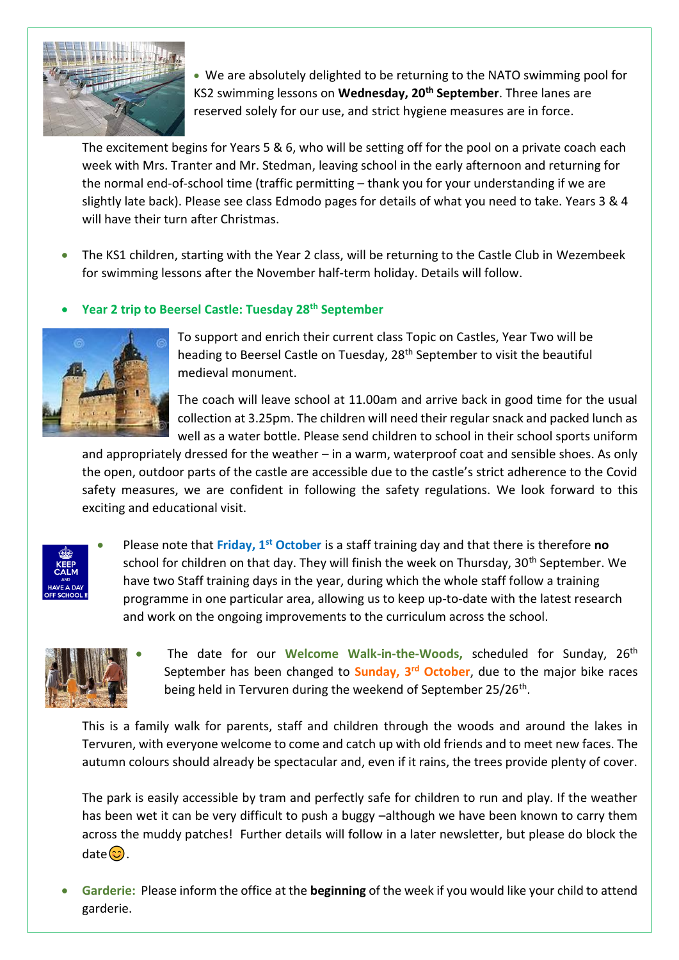

• We are absolutely delighted to be returning to the NATO swimming pool for KS2 swimming lessons on **Wednesday, 20th September**. Three lanes are reserved solely for our use, and strict hygiene measures are in force.

The excitement begins for Years 5 & 6, who will be setting off for the pool on a private coach each week with Mrs. Tranter and Mr. Stedman, leaving school in the early afternoon and returning for the normal end-of-school time (traffic permitting – thank you for your understanding if we are slightly late back). Please see class Edmodo pages for details of what you need to take. Years 3 & 4 will have their turn after Christmas.

• The KS1 children, starting with the Year 2 class, will be returning to the Castle Club in Wezembeek for swimming lessons after the November half-term holiday. Details will follow.

# • **Year 2 trip to Beersel Castle: Tuesday 28th September**



To support and enrich their current class Topic on Castles, Year Two will be heading to Beersel Castle on Tuesday, 28<sup>th</sup> September to visit the beautiful medieval monument.

The coach will leave school at 11.00am and arrive back in good time for the usual collection at 3.25pm. The children will need their regular snack and packed lunch as well as a water bottle. Please send children to school in their school sports uniform

and appropriately dressed for the weather – in a warm, waterproof coat and sensible shoes. As only the open, outdoor parts of the castle are accessible due to the castle's strict adherence to the Covid safety measures, we are confident in following the safety regulations. We look forward to this exciting and educational visit.



• Please note that **Friday, 1st October** is a staff training day and that there is therefore **no** school for children on that day. They will finish the week on Thursday, 30<sup>th</sup> September. We have two Staff training days in the year, during which the whole staff follow a training programme in one particular area, allowing us to keep up-to-date with the latest research and work on the ongoing improvements to the curriculum across the school.



• The date for our Welcome Walk-in-the-Woods, scheduled for Sunday, 26<sup>th</sup> September has been changed to **Sunday, 3rd October**, due to the major bike races being held in Tervuren during the weekend of September 25/26<sup>th</sup>.

This is a family walk for parents, staff and children through the woods and around the lakes in Tervuren, with everyone welcome to come and catch up with old friends and to meet new faces. The autumn colours should already be spectacular and, even if it rains, the trees provide plenty of cover.

The park is easily accessible by tram and perfectly safe for children to run and play. If the weather has been wet it can be very difficult to push a buggy –although we have been known to carry them across the muddy patches! Further details will follow in a later newsletter, but please do block the date $\odot$ .

• **Garderie:** Please inform the office at the **beginning** of the week if you would like your child to attend garderie.